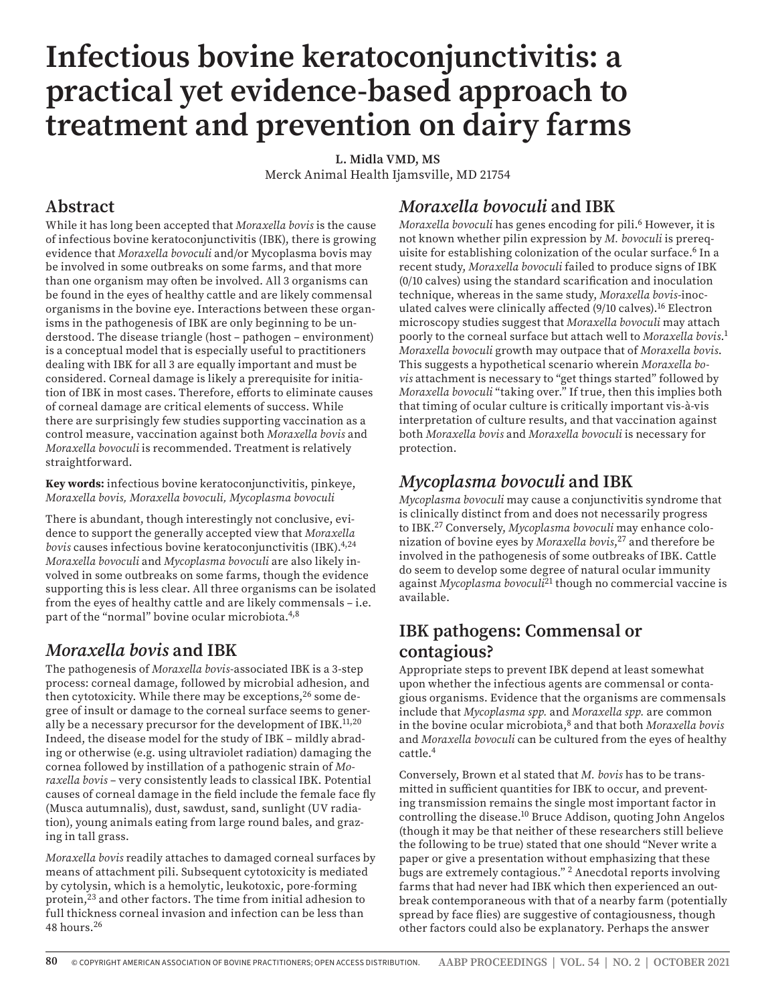# **Infectious bovine keratoconjunctivitis: a practical yet evidence-based approach to treatment and prevention on dairy farms**

**L. Midla VMD, MS** Merck Animal Health Ijamsville, MD 21754

## **Abstract**

While it has long been accepted that *Moraxella bovis* is the cause of infectious bovine keratoconjunctivitis (IBK), there is growing evidence that *Moraxella bovoculi* and/or Mycoplasma bovis may be involved in some outbreaks on some farms, and that more than one organism may often be involved. All 3 organisms can be found in the eyes of healthy cattle and are likely commensal organisms in the bovine eye. Interactions between these organisms in the pathogenesis of IBK are only beginning to be understood. The disease triangle (host – pathogen – environment) is a conceptual model that is especially useful to practitioners dealing with IBK for all 3 are equally important and must be considered. Corneal damage is likely a prerequisite for initiation of IBK in most cases. Therefore, efforts to eliminate causes of corneal damage are critical elements of success. While there are surprisingly few studies supporting vaccination as a control measure, vaccination against both *Moraxella bovis* and *Moraxella bovoculi* is recommended. Treatment is relatively straightforward.

**Key words:** infectious bovine keratoconjunctivitis, pinkeye, *Moraxella bovis, Moraxella bovoculi, Mycoplasma bovoculi*

There is abundant, though interestingly not conclusive, evidence to support the generally accepted view that *Moraxella bovis* causes infectious bovine keratoconjunctivitis (IBK).4,24 *Moraxella bovoculi* and *Mycoplasma bovoculi* are also likely involved in some outbreaks on some farms, though the evidence supporting this is less clear. All three organisms can be isolated from the eyes of healthy cattle and are likely commensals – i.e. part of the "normal" bovine ocular microbiota.<sup>4,8</sup>

# *Moraxella bovis* **and IBK**

The pathogenesis of *Moraxella bovis*-associated IBK is a 3-step process: corneal damage, followed by microbial adhesion, and then cytotoxicity. While there may be exceptions,<sup>26</sup> some degree of insult or damage to the corneal surface seems to generally be a necessary precursor for the development of  $IBK$ <sup>11,20</sup> Indeed, the disease model for the study of IBK – mildly abrading or otherwise (e.g. using ultraviolet radiation) damaging the cornea followed by instillation of a pathogenic strain of *Moraxella bovis* – very consistently leads to classical IBK. Potential causes of corneal damage in the field include the female face fly (Musca autumnalis), dust, sawdust, sand, sunlight (UV radiation), young animals eating from large round bales, and grazing in tall grass.

*Moraxella bovis* readily attaches to damaged corneal surfaces by means of attachment pili. Subsequent cytotoxicity is mediated by cytolysin, which is a hemolytic, leukotoxic, pore-forming protein,23 and other factors. The time from initial adhesion to full thickness corneal invasion and infection can be less than 48 hours.26

# *Moraxella bovoculi* **and IBK**

*Moraxella bovoculi* has genes encoding for pili.6 However, it is not known whether pilin expression by *M. bovoculi* is prerequisite for establishing colonization of the ocular surface.<sup>6</sup> In a recent study, *Moraxella bovoculi* failed to produce signs of IBK (0/10 calves) using the standard scarification and inoculation technique, whereas in the same study, *Moraxella bovis*-inoculated calves were clinically affected (9/10 calves).<sup>16</sup> Electron microscopy studies suggest that *Moraxella bovoculi* may attach poorly to the corneal surface but attach well to *Moraxella bovis*. 1 *Moraxella bovoculi* growth may outpace that of *Moraxella bovis*. This suggests a hypothetical scenario wherein *Moraxella bovis* attachment is necessary to "get things started" followed by *Moraxella bovoculi* "taking over." If true, then this implies both that timing of ocular culture is critically important vis-à-vis interpretation of culture results, and that vaccination against both *Moraxella bovis* and *Moraxella bovoculi* is necessary for protection.

# *Mycoplasma bovoculi* **and IBK**

*Mycoplasma bovoculi* may cause a conjunctivitis syndrome that is clinically distinct from and does not necessarily progress to IBK.27 Conversely, *Mycoplasma bovoculi* may enhance colonization of bovine eyes by *Moraxella bovis*, 27 and therefore be involved in the pathogenesis of some outbreaks of IBK. Cattle do seem to develop some degree of natural ocular immunity against *Mycoplasma bovoculi*21 though no commercial vaccine is available.

# **IBK pathogens: Commensal or contagious?**

Appropriate steps to prevent IBK depend at least somewhat upon whether the infectious agents are commensal or contagious organisms. Evidence that the organisms are commensals include that *Mycoplasma spp.* and *Moraxella spp.* are common in the bovine ocular microbiota,8 and that both *Moraxella bovis* and *Moraxella bovoculi* can be cultured from the eyes of healthy cattle.4

Conversely, Brown et al stated that *M. bovis* has to be transmitted in sufficient quantities for IBK to occur, and preventing transmission remains the single most important factor in controlling the disease.10 Bruce Addison, quoting John Angelos (though it may be that neither of these researchers still believe the following to be true) stated that one should "Never write a paper or give a presentation without emphasizing that these bugs are extremely contagious." 2 Anecdotal reports involving farms that had never had IBK which then experienced an outbreak contemporaneous with that of a nearby farm (potentially spread by face flies) are suggestive of contagiousness, though other factors could also be explanatory. Perhaps the answer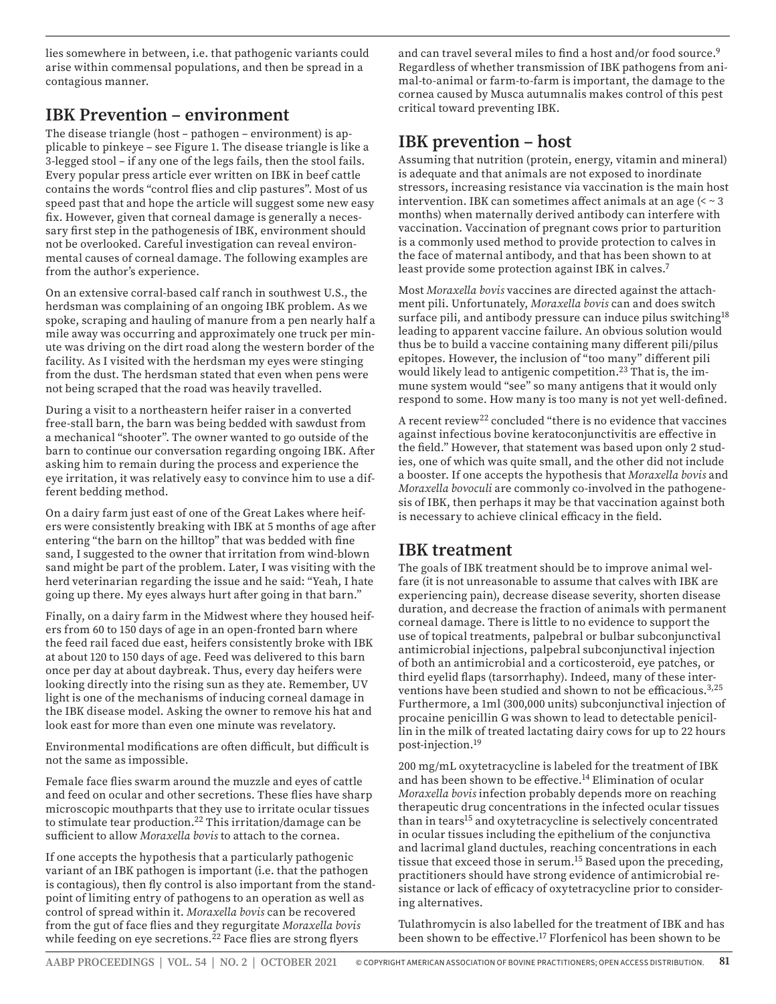lies somewhere in between, i.e. that pathogenic variants could arise within commensal populations, and then be spread in a contagious manner.

## **IBK Prevention – environment**

The disease triangle (host – pathogen – environment) is applicable to pinkeye – see Figure 1. The disease triangle is like a 3-legged stool – if any one of the legs fails, then the stool fails. Every popular press article ever written on IBK in beef cattle contains the words "control flies and clip pastures". Most of us speed past that and hope the article will suggest some new easy fix. However, given that corneal damage is generally a necessary first step in the pathogenesis of IBK, environment should not be overlooked. Careful investigation can reveal environmental causes of corneal damage. The following examples are from the author's experience.

On an extensive corral-based calf ranch in southwest U.S., the herdsman was complaining of an ongoing IBK problem. As we spoke, scraping and hauling of manure from a pen nearly half a mile away was occurring and approximately one truck per minute was driving on the dirt road along the western border of the facility. As I visited with the herdsman my eyes were stinging from the dust. The herdsman stated that even when pens were not being scraped that the road was heavily travelled.

During a visit to a northeastern heifer raiser in a converted free-stall barn, the barn was being bedded with sawdust from a mechanical "shooter". The owner wanted to go outside of the barn to continue our conversation regarding ongoing IBK. After asking him to remain during the process and experience the eye irritation, it was relatively easy to convince him to use a different bedding method.

On a dairy farm just east of one of the Great Lakes where heifers were consistently breaking with IBK at 5 months of age after entering "the barn on the hilltop" that was bedded with fine sand, I suggested to the owner that irritation from wind-blown sand might be part of the problem. Later, I was visiting with the herd veterinarian regarding the issue and he said: "Yeah, I hate going up there. My eyes always hurt after going in that barn."

Finally, on a dairy farm in the Midwest where they housed heifers from 60 to 150 days of age in an open-fronted barn where the feed rail faced due east, heifers consistently broke with IBK at about 120 to 150 days of age. Feed was delivered to this barn once per day at about daybreak. Thus, every day heifers were looking directly into the rising sun as they ate. Remember, UV light is one of the mechanisms of inducing corneal damage in the IBK disease model. Asking the owner to remove his hat and look east for more than even one minute was revelatory.

Environmental modifications are often difficult, but difficult is not the same as impossible.

Female face flies swarm around the muzzle and eyes of cattle and feed on ocular and other secretions. These flies have sharp microscopic mouthparts that they use to irritate ocular tissues to stimulate tear production.22 This irritation/damage can be sufficient to allow *Moraxella bovis* to attach to the cornea.

If one accepts the hypothesis that a particularly pathogenic variant of an IBK pathogen is important (i.e. that the pathogen is contagious), then fly control is also important from the standpoint of limiting entry of pathogens to an operation as well as control of spread within it. *Moraxella bovis* can be recovered from the gut of face flies and they regurgitate *Moraxella bovis* while feeding on eye secretions.<sup>22</sup> Face flies are strong flyers

and can travel several miles to find a host and/or food source.<sup>9</sup> Regardless of whether transmission of IBK pathogens from animal-to-animal or farm-to-farm is important, the damage to the cornea caused by Musca autumnalis makes control of this pest critical toward preventing IBK.

# **IBK prevention – host**

Assuming that nutrition (protein, energy, vitamin and mineral) is adequate and that animals are not exposed to inordinate stressors, increasing resistance via vaccination is the main host intervention. IBK can sometimes affect animals at an age  $( $3$$ months) when maternally derived antibody can interfere with vaccination. Vaccination of pregnant cows prior to parturition is a commonly used method to provide protection to calves in the face of maternal antibody, and that has been shown to at least provide some protection against IBK in calves.<sup>7</sup>

Most *Moraxella bovis* vaccines are directed against the attachment pili. Unfortunately, *Moraxella bovis* can and does switch surface pili, and antibody pressure can induce pilus switching<sup>18</sup> leading to apparent vaccine failure. An obvious solution would thus be to build a vaccine containing many different pili/pilus epitopes. However, the inclusion of "too many" different pili would likely lead to antigenic competition.<sup>23</sup> That is, the immune system would "see" so many antigens that it would only respond to some. How many is too many is not yet well-defined.

A recent review<sup>22</sup> concluded "there is no evidence that vaccines against infectious bovine keratoconjunctivitis are effective in the field." However, that statement was based upon only 2 studies, one of which was quite small, and the other did not include a booster. If one accepts the hypothesis that *Moraxella bovis* and *Moraxella bovoculi* are commonly co-involved in the pathogenesis of IBK, then perhaps it may be that vaccination against both is necessary to achieve clinical efficacy in the field.

### **IBK treatment**

The goals of IBK treatment should be to improve animal welfare (it is not unreasonable to assume that calves with IBK are experiencing pain), decrease disease severity, shorten disease duration, and decrease the fraction of animals with permanent corneal damage. There is little to no evidence to support the use of topical treatments, palpebral or bulbar subconjunctival antimicrobial injections, palpebral subconjunctival injection of both an antimicrobial and a corticosteroid, eye patches, or third eyelid flaps (tarsorrhaphy). Indeed, many of these interventions have been studied and shown to not be efficacious.3,25 Furthermore, a 1ml (300,000 units) subconjunctival injection of procaine penicillin G was shown to lead to detectable penicillin in the milk of treated lactating dairy cows for up to 22 hours post-injection.19

200 mg/mL oxytetracycline is labeled for the treatment of IBK and has been shown to be effective.<sup>14</sup> Elimination of ocular *Moraxella bovis* infection probably depends more on reaching therapeutic drug concentrations in the infected ocular tissues than in tears<sup>15</sup> and oxytetracycline is selectively concentrated in ocular tissues including the epithelium of the conjunctiva and lacrimal gland ductules, reaching concentrations in each tissue that exceed those in serum.15 Based upon the preceding, practitioners should have strong evidence of antimicrobial resistance or lack of efficacy of oxytetracycline prior to considering alternatives.

Tulathromycin is also labelled for the treatment of IBK and has been shown to be effective.17 Florfenicol has been shown to be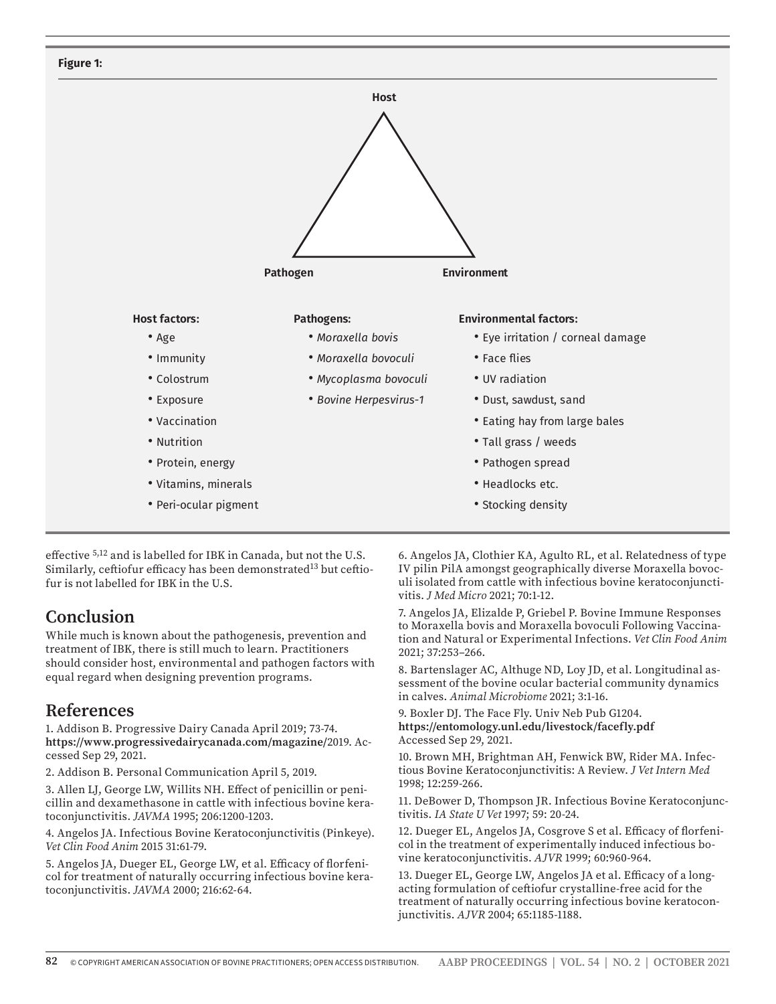

effective 5,12 and is labelled for IBK in Canada, but not the U.S. Similarly, ceftiofur efficacy has been demonstrated<sup>13</sup> but ceftiofur is not labelled for IBK in the U.S.

### **Conclusion**

While much is known about the pathogenesis, prevention and treatment of IBK, there is still much to learn. Practitioners should consider host, environmental and pathogen factors with equal regard when designing prevention programs.

#### **References**

1. Addison B. Progressive Dairy Canada April 2019; 73-74. **https://www.progressivedairycanada.com/magazine/**2019. Accessed Sep 29, 2021.

2. Addison B. Personal Communication April 5, 2019.

3. Allen LJ, George LW, Willits NH. Effect of penicillin or penicillin and dexamethasone in cattle with infectious bovine keratoconjunctivitis. *JAVMA* 1995; 206:1200-1203.

4. Angelos JA. Infectious Bovine Keratoconjunctivitis (Pinkeye). *Vet Clin Food Anim* 2015 31:61-79.

5. Angelos JA, Dueger EL, George LW, et al. Efficacy of florfenicol for treatment of naturally occurring infectious bovine keratoconjunctivitis. *JAVMA* 2000; 216:62-64.

6. Angelos JA, Clothier KA, Agulto RL, et al. Relatedness of type IV pilin PilA amongst geographically diverse Moraxella bovoculi isolated from cattle with infectious bovine keratoconjunctivitis. *J Med Micro* 2021; 70:1-12.

7. Angelos JA, Elizalde P, Griebel P. Bovine Immune Responses to Moraxella bovis and Moraxella bovoculi Following Vaccination and Natural or Experimental Infections. *Vet Clin Food Anim* 2021; 37:253–266.

8. Bartenslager AC, Althuge ND, Loy JD, et al. Longitudinal assessment of the bovine ocular bacterial community dynamics in calves. *Animal Microbiome* 2021; 3:1-16.

9. Boxler DJ. The Face Fly. Univ Neb Pub G1204. **https://entomology.unl.edu/livestock/facefly.pdf** Accessed Sep 29, 2021.

10. Brown MH, Brightman AH, Fenwick BW, Rider MA. Infectious Bovine Keratoconjunctivitis: A Review. *J Vet Intern Med* 1998; 12:259-266.

11. DeBower D, Thompson JR. Infectious Bovine Keratoconjunctivitis. *IA State U Vet* 1997; 59: 20-24.

12. Dueger EL, Angelos JA, Cosgrove S et al. Efficacy of florfenicol in the treatment of experimentally induced infectious bovine keratoconjunctivitis. *AJVR* 1999; 60:960-964.

13. Dueger EL, George LW, Angelos JA et al. Efficacy of a longacting formulation of ceftiofur crystalline-free acid for the treatment of naturally occurring infectious bovine keratoconjunctivitis. *AJVR* 2004; 65:1185-1188.